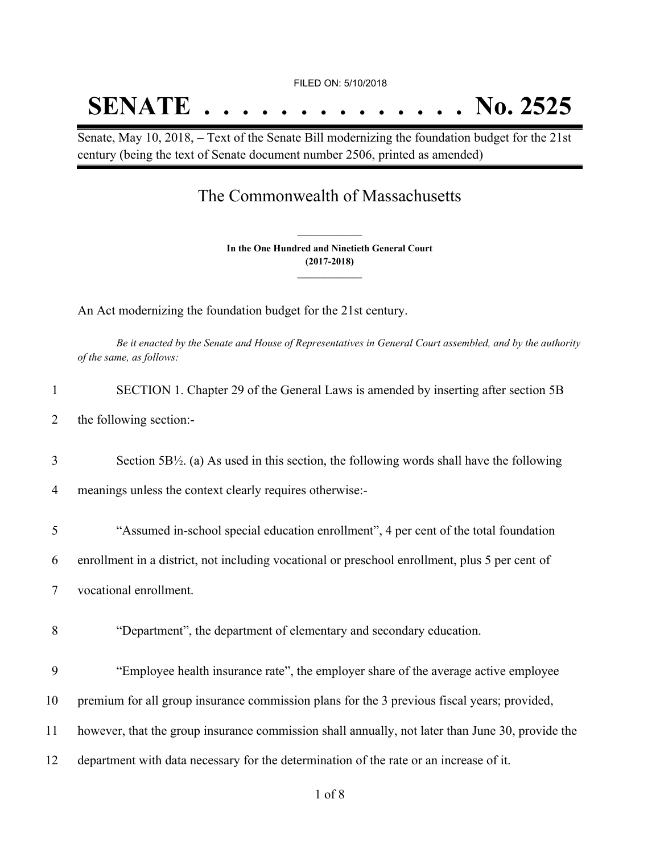## FILED ON: 5/10/2018

## **SENATE . . . . . . . . . . . . . . No. 2525**

Senate, May 10, 2018, – Text of the Senate Bill modernizing the foundation budget for the 21st century (being the text of Senate document number 2506, printed as amended)

## The Commonwealth of Massachusetts

**In the One Hundred and Ninetieth General Court (2017-2018) \_\_\_\_\_\_\_\_\_\_\_\_\_\_\_**

**\_\_\_\_\_\_\_\_\_\_\_\_\_\_\_**

An Act modernizing the foundation budget for the 21st century.

Be it enacted by the Senate and House of Representatives in General Court assembled, and by the authority *of the same, as follows:*

| $\mathbf{1}$ | SECTION 1. Chapter 29 of the General Laws is amended by inserting after section 5B                  |
|--------------|-----------------------------------------------------------------------------------------------------|
| 2            | the following section:-                                                                             |
| 3            | Section $5B\frac{1}{2}$ . (a) As used in this section, the following words shall have the following |
| 4            | meanings unless the context clearly requires otherwise:-                                            |
| 5            | "Assumed in-school special education enrollment", 4 per cent of the total foundation                |
| 6            | enrollment in a district, not including vocational or preschool enrollment, plus 5 per cent of      |
| 7            | vocational enrollment.                                                                              |
| 8            | "Department", the department of elementary and secondary education.                                 |
| 9            | "Employee health insurance rate", the employer share of the average active employee                 |
| 10           | premium for all group insurance commission plans for the 3 previous fiscal years; provided,         |
| 11           | however, that the group insurance commission shall annually, not later than June 30, provide the    |
| 12           | department with data necessary for the determination of the rate or an increase of it.              |
|              |                                                                                                     |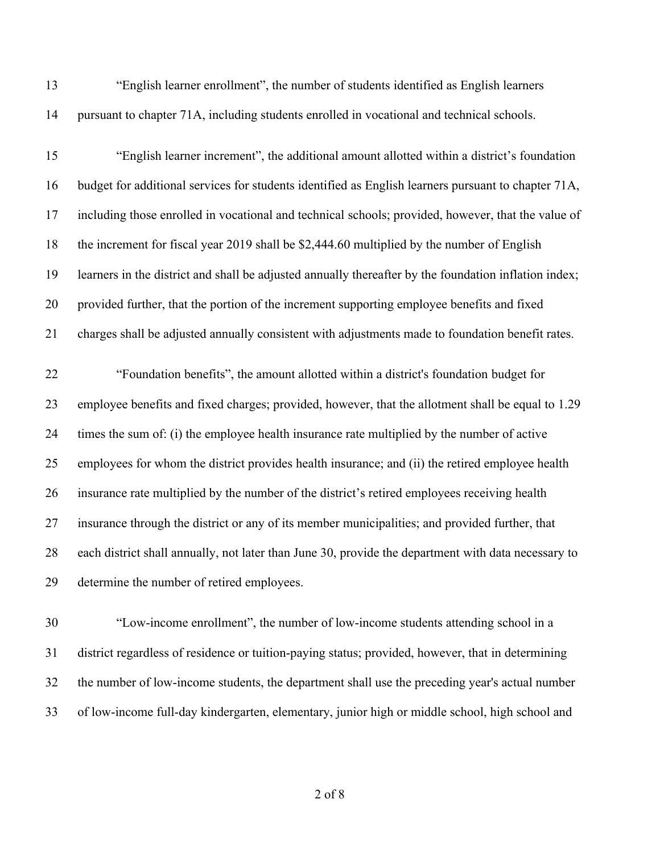"English learner enrollment", the number of students identified as English learners pursuant to chapter 71A, including students enrolled in vocational and technical schools.

 "English learner increment", the additional amount allotted within a district's foundation budget for additional services for students identified as English learners pursuant to chapter 71A, including those enrolled in vocational and technical schools; provided, however, that the value of the increment for fiscal year 2019 shall be \$2,444.60 multiplied by the number of English learners in the district and shall be adjusted annually thereafter by the foundation inflation index; provided further, that the portion of the increment supporting employee benefits and fixed charges shall be adjusted annually consistent with adjustments made to foundation benefit rates. "Foundation benefits", the amount allotted within a district's foundation budget for employee benefits and fixed charges; provided, however, that the allotment shall be equal to 1.29 times the sum of: (i) the employee health insurance rate multiplied by the number of active employees for whom the district provides health insurance; and (ii) the retired employee health insurance rate multiplied by the number of the district's retired employees receiving health insurance through the district or any of its member municipalities; and provided further, that each district shall annually, not later than June 30, provide the department with data necessary to

determine the number of retired employees.

 "Low-income enrollment", the number of low-income students attending school in a district regardless of residence or tuition-paying status; provided, however, that in determining the number of low-income students, the department shall use the preceding year's actual number of low-income full-day kindergarten, elementary, junior high or middle school, high school and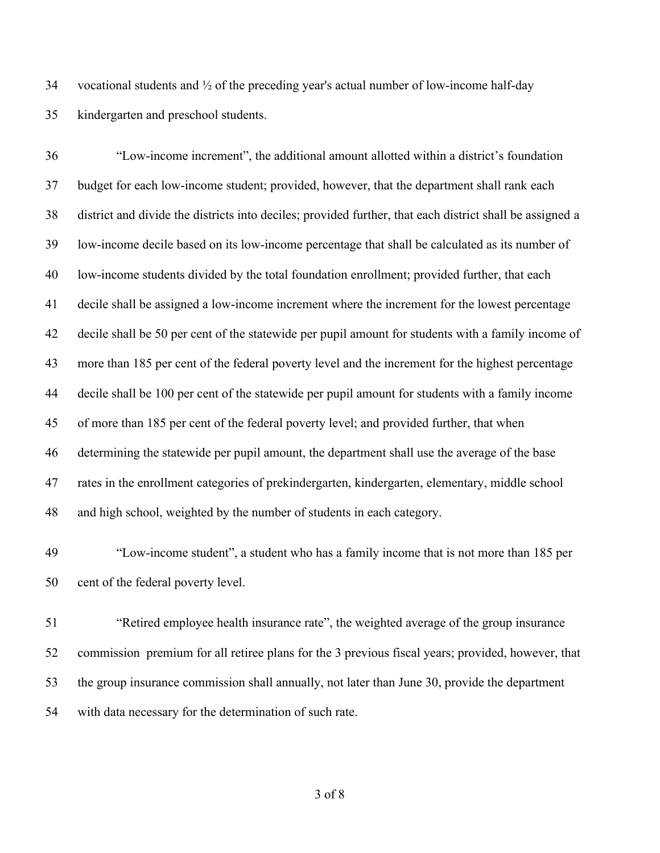34 vocational students and  $\frac{1}{2}$  of the preceding year's actual number of low-income half-day kindergarten and preschool students.

 "Low-income increment", the additional amount allotted within a district's foundation budget for each low-income student; provided, however, that the department shall rank each district and divide the districts into deciles; provided further, that each district shall be assigned a low-income decile based on its low-income percentage that shall be calculated as its number of low-income students divided by the total foundation enrollment; provided further, that each decile shall be assigned a low-income increment where the increment for the lowest percentage decile shall be 50 per cent of the statewide per pupil amount for students with a family income of more than 185 per cent of the federal poverty level and the increment for the highest percentage decile shall be 100 per cent of the statewide per pupil amount for students with a family income of more than 185 per cent of the federal poverty level; and provided further, that when determining the statewide per pupil amount, the department shall use the average of the base rates in the enrollment categories of prekindergarten, kindergarten, elementary, middle school and high school, weighted by the number of students in each category.

 "Low-income student", a student who has a family income that is not more than 185 per cent of the federal poverty level.

 "Retired employee health insurance rate", the weighted average of the group insurance commission premium for all retiree plans for the 3 previous fiscal years; provided, however, that the group insurance commission shall annually, not later than June 30, provide the department with data necessary for the determination of such rate.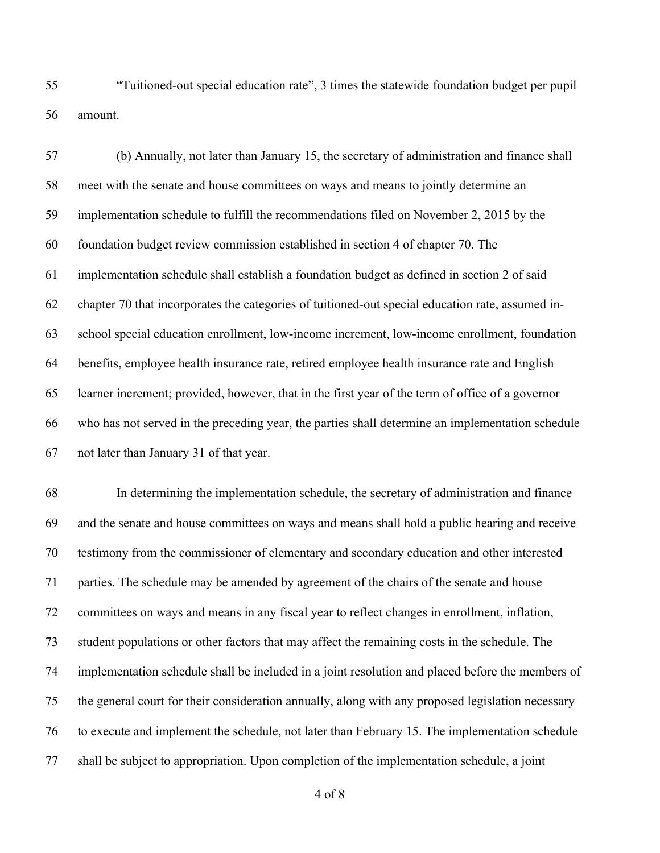"Tuitioned-out special education rate", 3 times the statewide foundation budget per pupil amount.

 (b) Annually, not later than January 15, the secretary of administration and finance shall meet with the senate and house committees on ways and means to jointly determine an implementation schedule to fulfill the recommendations filed on November 2, 2015 by the foundation budget review commission established in section 4 of chapter 70. The implementation schedule shall establish a foundation budget as defined in section 2 of said chapter 70 that incorporates the categories of tuitioned-out special education rate, assumed in- school special education enrollment, low-income increment, low-income enrollment, foundation benefits, employee health insurance rate, retired employee health insurance rate and English learner increment; provided, however, that in the first year of the term of office of a governor who has not served in the preceding year, the parties shall determine an implementation schedule not later than January 31 of that year.

 In determining the implementation schedule, the secretary of administration and finance and the senate and house committees on ways and means shall hold a public hearing and receive testimony from the commissioner of elementary and secondary education and other interested parties. The schedule may be amended by agreement of the chairs of the senate and house committees on ways and means in any fiscal year to reflect changes in enrollment, inflation, student populations or other factors that may affect the remaining costs in the schedule. The implementation schedule shall be included in a joint resolution and placed before the members of the general court for their consideration annually, along with any proposed legislation necessary to execute and implement the schedule, not later than February 15. The implementation schedule shall be subject to appropriation. Upon completion of the implementation schedule, a joint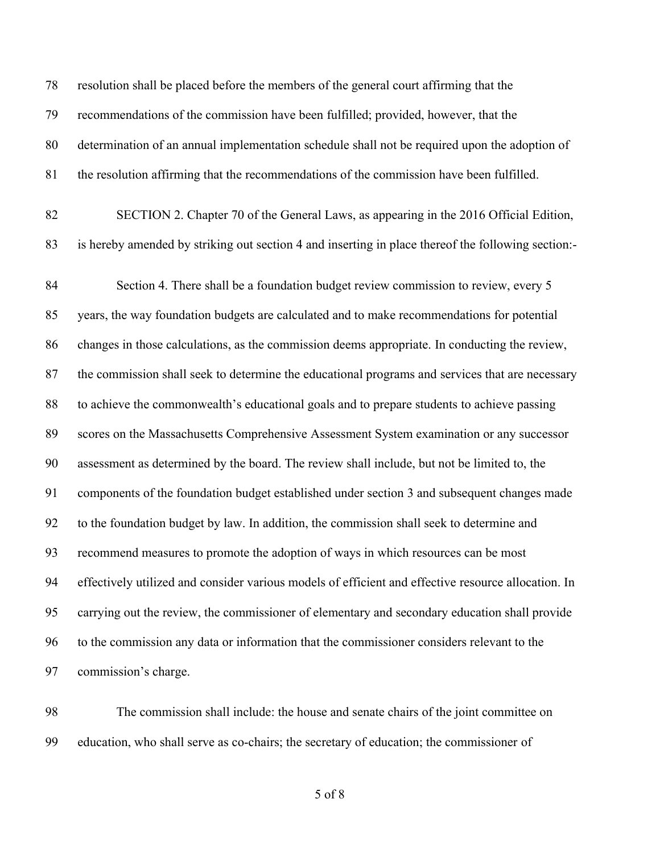resolution shall be placed before the members of the general court affirming that the recommendations of the commission have been fulfilled; provided, however, that the determination of an annual implementation schedule shall not be required upon the adoption of the resolution affirming that the recommendations of the commission have been fulfilled. SECTION 2. Chapter 70 of the General Laws, as appearing in the 2016 Official Edition, is hereby amended by striking out section 4 and inserting in place thereof the following section:- Section 4. There shall be a foundation budget review commission to review, every 5 years, the way foundation budgets are calculated and to make recommendations for potential changes in those calculations, as the commission deems appropriate. In conducting the review, the commission shall seek to determine the educational programs and services that are necessary to achieve the commonwealth's educational goals and to prepare students to achieve passing scores on the Massachusetts Comprehensive Assessment System examination or any successor assessment as determined by the board. The review shall include, but not be limited to, the components of the foundation budget established under section 3 and subsequent changes made to the foundation budget by law. In addition, the commission shall seek to determine and recommend measures to promote the adoption of ways in which resources can be most effectively utilized and consider various models of efficient and effective resource allocation. In carrying out the review, the commissioner of elementary and secondary education shall provide to the commission any data or information that the commissioner considers relevant to the commission's charge.

 The commission shall include: the house and senate chairs of the joint committee on education, who shall serve as co-chairs; the secretary of education; the commissioner of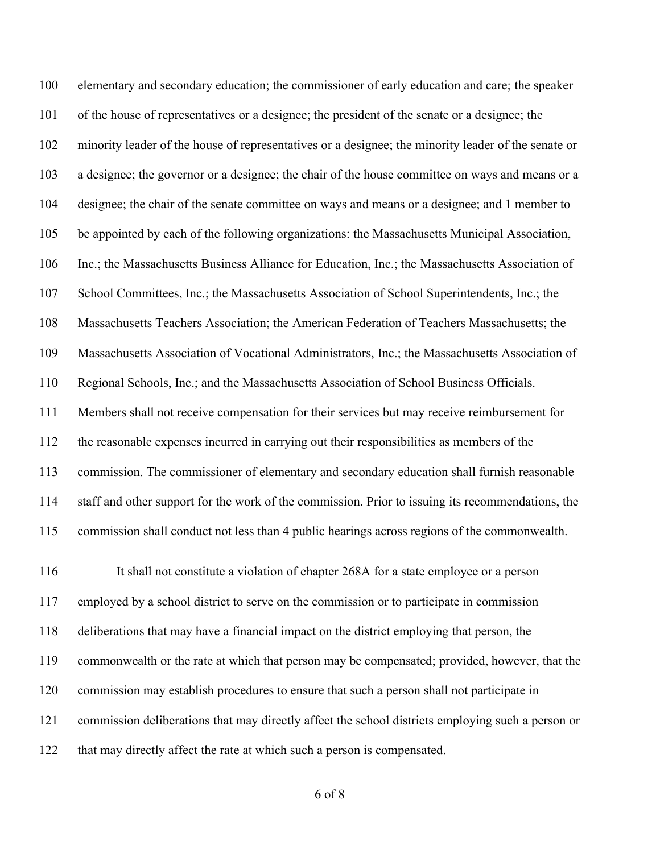elementary and secondary education; the commissioner of early education and care; the speaker of the house of representatives or a designee; the president of the senate or a designee; the minority leader of the house of representatives or a designee; the minority leader of the senate or a designee; the governor or a designee; the chair of the house committee on ways and means or a designee; the chair of the senate committee on ways and means or a designee; and 1 member to be appointed by each of the following organizations: the Massachusetts Municipal Association, Inc.; the Massachusetts Business Alliance for Education, Inc.; the Massachusetts Association of School Committees, Inc.; the Massachusetts Association of School Superintendents, Inc.; the Massachusetts Teachers Association; the American Federation of Teachers Massachusetts; the Massachusetts Association of Vocational Administrators, Inc.; the Massachusetts Association of Regional Schools, Inc.; and the Massachusetts Association of School Business Officials. Members shall not receive compensation for their services but may receive reimbursement for the reasonable expenses incurred in carrying out their responsibilities as members of the commission. The commissioner of elementary and secondary education shall furnish reasonable staff and other support for the work of the commission. Prior to issuing its recommendations, the commission shall conduct not less than 4 public hearings across regions of the commonwealth.

 It shall not constitute a violation of chapter 268A for a state employee or a person employed by a school district to serve on the commission or to participate in commission deliberations that may have a financial impact on the district employing that person, the commonwealth or the rate at which that person may be compensated; provided, however, that the commission may establish procedures to ensure that such a person shall not participate in commission deliberations that may directly affect the school districts employing such a person or that may directly affect the rate at which such a person is compensated.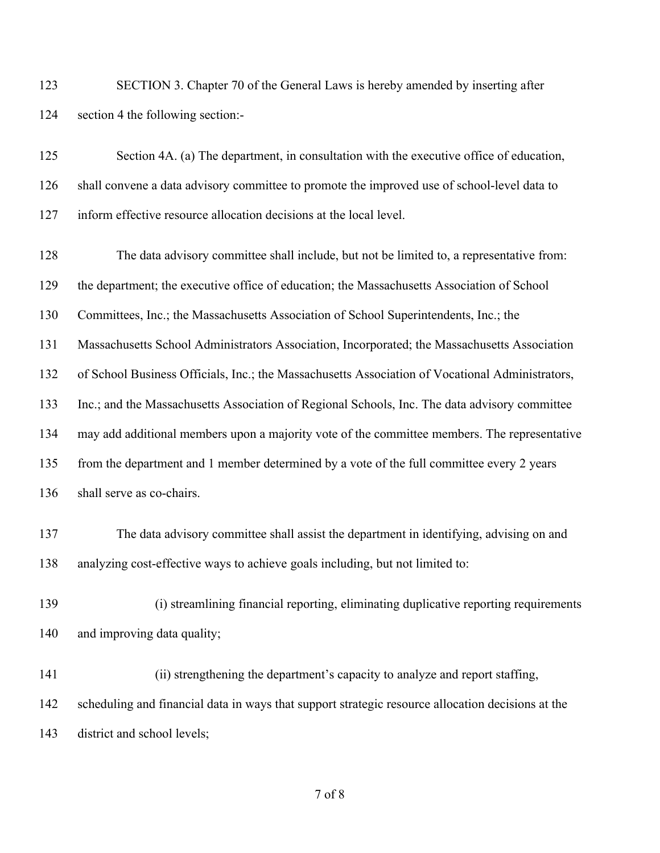| 123 | SECTION 3. Chapter 70 of the General Laws is hereby amended by inserting after |
|-----|--------------------------------------------------------------------------------|
| 124 | section 4 the following section:-                                              |

| 125 | Section 4A. (a) The department, in consultation with the executive office of education,     |
|-----|---------------------------------------------------------------------------------------------|
| 126 | shall convene a data advisory committee to promote the improved use of school-level data to |
| 127 | inform effective resource allocation decisions at the local level.                          |

 The data advisory committee shall include, but not be limited to, a representative from: the department; the executive office of education; the Massachusetts Association of School Committees, Inc.; the Massachusetts Association of School Superintendents, Inc.; the Massachusetts School Administrators Association, Incorporated; the Massachusetts Association of School Business Officials, Inc.; the Massachusetts Association of Vocational Administrators, Inc.; and the Massachusetts Association of Regional Schools, Inc. The data advisory committee may add additional members upon a majority vote of the committee members. The representative from the department and 1 member determined by a vote of the full committee every 2 years shall serve as co-chairs.

- The data advisory committee shall assist the department in identifying, advising on and analyzing cost-effective ways to achieve goals including, but not limited to:
- (i) streamlining financial reporting, eliminating duplicative reporting requirements and improving data quality;
- (ii) strengthening the department's capacity to analyze and report staffing, scheduling and financial data in ways that support strategic resource allocation decisions at the district and school levels;